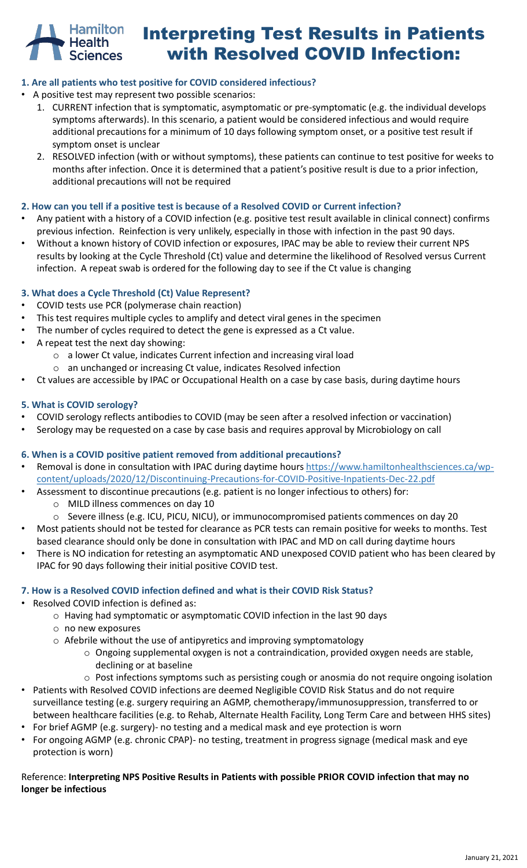

# Interpreting Test Results in Patients with Resolved COVID Infection:

#### **1. Are all patients who test positive for COVID considered infectious?**

- A positive test may represent two possible scenarios:
	- 1. CURRENT infection that is symptomatic, asymptomatic or pre-symptomatic (e.g. the individual develops symptoms afterwards). In this scenario, a patient would be considered infectious and would require additional precautions for a minimum of 10 days following symptom onset, or a positive test result if symptom onset is unclear
	- 2. RESOLVED infection (with or without symptoms), these patients can continue to test positive for weeks to months after infection. Once it is determined that a patient's positive result is due to a prior infection, additional precautions will not be required

#### **2. How can you tell if a positive test is because of a Resolved COVID or Current infection?**

- Any patient with a history of a COVID infection (e.g. positive test result available in clinical connect) confirms previous infection. Reinfection is very unlikely, especially in those with infection in the past 90 days.
- Without a known history of COVID infection or exposures, IPAC may be able to review their current NPS results by looking at the Cycle Threshold (Ct) value and determine the likelihood of Resolved versus Current infection. A repeat swab is ordered for the following day to see if the Ct value is changing

#### **3. What does a Cycle Threshold (Ct) Value Represent?**

- COVID tests use PCR (polymerase chain reaction)
- This test requires multiple cycles to amplify and detect viral genes in the specimen
- The number of cycles required to detect the gene is expressed as a Ct value.
- A repeat test the next day showing:
	- o a lower Ct value, indicates Current infection and increasing viral load
	- o an unchanged or increasing Ct value, indicates Resolved infection
- Ct values are accessible by IPAC or Occupational Health on a case by case basis, during daytime hours

#### **5. What is COVID serology?**

- COVID serology reflects antibodies to COVID (may be seen after a resolved infection or vaccination)
- Serology may be requested on a case by case basis and requires approval by Microbiology on call

#### **6. When is a COVID positive patient removed from additional precautions?**

- Removal is done in consultation with IPAC during daytime hours https://www.hamiltonhealthsciences.ca/wpcontent/uploads/2020/12/Discontinuing-Precautions-for-COVID-Positive-Inpatients-Dec-22.pdf
- Assessment to discontinue precautions (e.g. patient is no longer infectious to others) for:
	- o MILD illness commences on day 10
	- o Severe illness (e.g. ICU, PICU, NICU), or immunocompromised patients commences on day 20
- Most patients should not be tested for clearance as PCR tests can remain positive for weeks to months. Test based clearance should only be done in consultation with IPAC and MD on call during daytime hours
- There is NO indication for retesting an asymptomatic AND unexposed COVID patient who has been cleared by IPAC for 90 days following their initial positive COVID test.

#### **7. How is a Resolved COVID infection defined and what is their COVID Risk Status?**

- Resolved COVID infection is defined as:
	- o Having had symptomatic or asymptomatic COVID infection in the last 90 days
	- o no new exposures
	- o Afebrile without the use of antipyretics and improving symptomatology
		- $\circ$  Ongoing supplemental oxygen is not a contraindication, provided oxygen needs are stable, declining or at baseline
		- o Post infections symptoms such as persisting cough or anosmia do not require ongoing isolation
- Patients with Resolved COVID infections are deemed Negligible COVID Risk Status and do not require surveillance testing (e.g. surgery requiring an AGMP, chemotherapy/immunosuppression, transferred to or between healthcare facilities (e.g. to Rehab, Alternate Health Facility, Long Term Care and between HHS sites)
- For brief AGMP (e.g. surgery)- no testing and a medical mask and eye protection is worn
- For ongoing AGMP (e.g. chronic CPAP)- no testing, treatment in progress signage (medical mask and eye protection is worn)

#### Reference: **Interpreting NPS Positive Results in Patients with possible PRIOR COVID infection that may no longer be infectious**